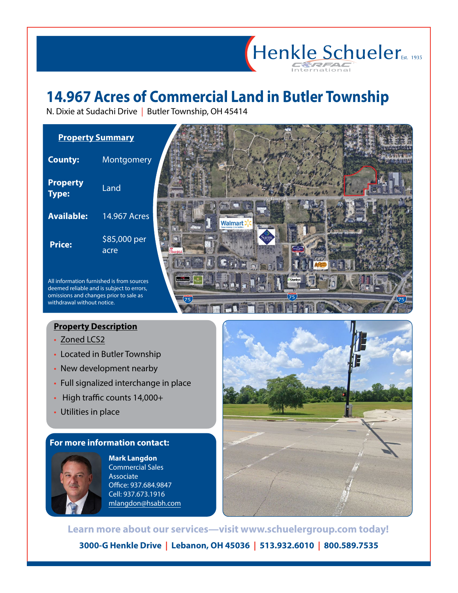## **14.967 Acres of Commercial Land in Butler Township**

N. Dixie at Sudachi Drive | Butler Township, OH 45414



## **Property Description**

- [Zoned LCS2](http://www.butlertownship.com/departments-services/zoning-and-planning/zoning-codes)
- Located in Butler Township
- New development nearby
- Full signalized interchange in place
- High traffic counts 14,000+
- Utilities in place

## **For more information contact:**



**Mark Langdon** Commercial Sales Associate Office: 937.684.9847 Cell: 937.673.1916 mlangdon@hsabh.com



Henkle Schueler

**3000-G Henkle Drive | Lebanon, OH 45036 | 513.932.6010 | 800.589.7535 Learn more about our services—visit www.schuelergroup.com today!**